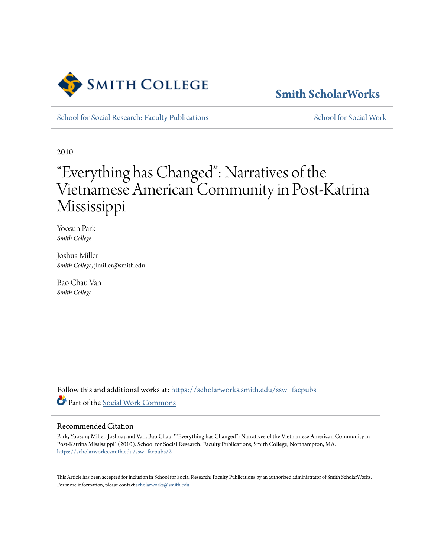

## **[Smith ScholarWorks](https://scholarworks.smith.edu/?utm_source=scholarworks.smith.edu%2Fssw_facpubs%2F2&utm_medium=PDF&utm_campaign=PDFCoverPages)**

[School for Social Research: Faculty Publications](https://scholarworks.smith.edu/ssw_facpubs?utm_source=scholarworks.smith.edu%2Fssw_facpubs%2F2&utm_medium=PDF&utm_campaign=PDFCoverPages) [School for Social Work](https://scholarworks.smith.edu/ssw?utm_source=scholarworks.smith.edu%2Fssw_facpubs%2F2&utm_medium=PDF&utm_campaign=PDFCoverPages)

2010

# "Everything has Changed": Narratives of the Vietnamese American Community in Post-Katrina Mississippi

Yoosun Park *Smith College*

Joshua Miller *Smith College*, jlmiller@smith.edu

Bao Chau Van *Smith College*

Follow this and additional works at: [https://scholarworks.smith.edu/ssw\\_facpubs](https://scholarworks.smith.edu/ssw_facpubs?utm_source=scholarworks.smith.edu%2Fssw_facpubs%2F2&utm_medium=PDF&utm_campaign=PDFCoverPages) Part of the [Social Work Commons](http://network.bepress.com/hgg/discipline/713?utm_source=scholarworks.smith.edu%2Fssw_facpubs%2F2&utm_medium=PDF&utm_campaign=PDFCoverPages)

#### Recommended Citation

Park, Yoosun; Miller, Joshua; and Van, Bao Chau, ""Everything has Changed": Narratives of the Vietnamese American Community in Post-Katrina Mississippi" (2010). School for Social Research: Faculty Publications, Smith College, Northampton, MA. [https://scholarworks.smith.edu/ssw\\_facpubs/2](https://scholarworks.smith.edu/ssw_facpubs/2?utm_source=scholarworks.smith.edu%2Fssw_facpubs%2F2&utm_medium=PDF&utm_campaign=PDFCoverPages)

This Article has been accepted for inclusion in School for Social Research: Faculty Publications by an authorized administrator of Smith ScholarWorks. For more information, please contact [scholarworks@smith.edu](mailto:scholarworks@smith.edu)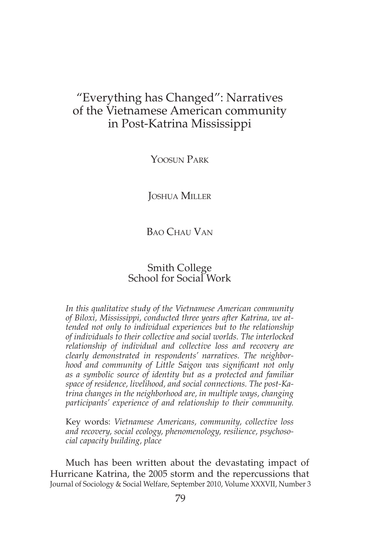### "Everything has Changed": Narratives of the Vietnamese American community in Post-Katrina Mississippi

YOOSUN PARK

Joshua Miller

#### B<sub>AO</sub> Chau Van

#### Smith College School for Social Work

*In this qualitative study of the Vietnamese American community of Biloxi, Mississippi, conducted three years after Katrina, we attended not only to individual experiences but to the relationship of individuals to their collective and social worlds. The interlocked relationship of individual and collective loss and recovery are clearly demonstrated in respondents' narratives. The neighborhood and community of Little Saigon was significant not only as a symbolic source of identity but as a protected and familiar space of residence, livelihood, and social connections. The post-Katrina changes in the neighborhood are, in multiple ways, changing participants' experience of and relationship to their community.* 

Key words: *Vietnamese Americans, community, collective loss and recovery, social ecology, phenomenology, resilience, psychosocial capacity building, place*

Much has been written about the devastating impact of Hurricane Katrina, the 2005 storm and the repercussions that Journal of Sociology & Social Welfare, September 2010, Volume XXXVII, Number 3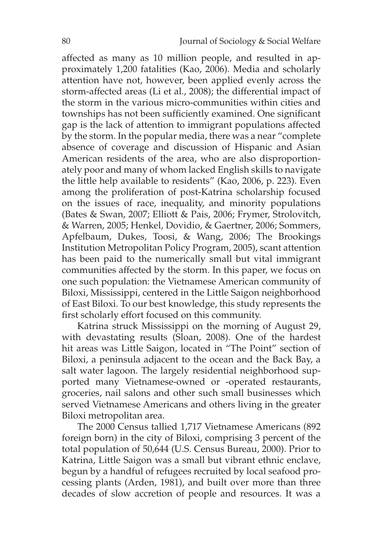affected as many as 10 million people, and resulted in approximately 1,200 fatalities (Kao, 2006). Media and scholarly attention have not, however, been applied evenly across the storm-affected areas (Li et al., 2008); the differential impact of the storm in the various micro-communities within cities and townships has not been sufficiently examined. One significant gap is the lack of attention to immigrant populations affected by the storm. In the popular media, there was a near "complete absence of coverage and discussion of Hispanic and Asian American residents of the area, who are also disproportionately poor and many of whom lacked English skills to navigate the little help available to residents" (Kao, 2006, p. 223). Even among the proliferation of post-Katrina scholarship focused on the issues of race, inequality, and minority populations (Bates & Swan, 2007; Elliott & Pais, 2006; Frymer, Strolovitch, & Warren, 2005; Henkel, Dovidio, & Gaertner, 2006; Sommers, Apfelbaum, Dukes, Toosi, & Wang, 2006; The Brookings Institution Metropolitan Policy Program, 2005), scant attention has been paid to the numerically small but vital immigrant communities affected by the storm. In this paper, we focus on one such population: the Vietnamese American community of Biloxi, Mississippi, centered in the Little Saigon neighborhood of East Biloxi. To our best knowledge, this study represents the first scholarly effort focused on this community.

Katrina struck Mississippi on the morning of August 29, with devastating results (Sloan, 2008). One of the hardest hit areas was Little Saigon, located in "The Point" section of Biloxi, a peninsula adjacent to the ocean and the Back Bay, a salt water lagoon. The largely residential neighborhood supported many Vietnamese-owned or -operated restaurants, groceries, nail salons and other such small businesses which served Vietnamese Americans and others living in the greater Biloxi metropolitan area.

The 2000 Census tallied 1,717 Vietnamese Americans (892 foreign born) in the city of Biloxi, comprising 3 percent of the total population of 50,644 (U.S. Census Bureau, 2000). Prior to Katrina, Little Saigon was a small but vibrant ethnic enclave, begun by a handful of refugees recruited by local seafood processing plants (Arden, 1981), and built over more than three decades of slow accretion of people and resources. It was a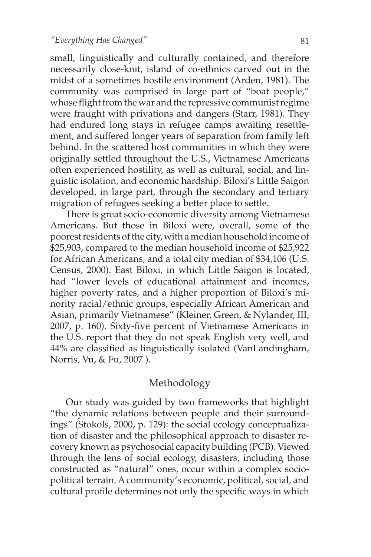small, linguistically and culturally contained, and therefore necessarily close-knit, island of co-ethnics carved out in the midst of a sometimes hostile environment (Arden, 1981). The community was comprised in large part of "boat people," whose flight from the war and the repressive communist regime were fraught with privations and dangers (Starr, 1981). They had endured long stays in refugee camps awaiting resettlement, and suffered longer years of separation from family left behind. In the scattered host communities in which they were originally settled throughout the U.S., Vietnamese Americans often experienced hostility, as well as cultural, social, and linguistic isolation, and economic hardship. Biloxi's Little Saigon developed, in large part, through the secondary and tertiary migration of refugees seeking a better place to settle.

There is great socio-economic diversity among Vietnamese Americans. But those in Biloxi were, overall, some of the poorest residents of the city, with a median household income of \$25,903, compared to the median household income of \$25,922 for African Americans, and a total city median of \$34,106 (U.S. Census, 2000). East Biloxi, in which Little Saigon is located, had "lower levels of educational attainment and incomes, higher poverty rates, and a higher proportion of Biloxi's minority racial/ethnic groups, especially African American and Asian, primarily Vietnamese" (Kleiner, Green, & Nylander, III, 2007, p. 160). Sixty-five percent of Vietnamese Americans in the U.S. report that they do not speak English very well, and 44% are classified as linguistically isolated (VanLandingham, Norris, Vu, & Fu, 2007 ).

#### Methodology

Our study was guided by two frameworks that highlight "the dynamic relations between people and their surroundings" (Stokols, 2000, p. 129): the social ecology conceptualization of disaster and the philosophical approach to disaster recovery known as psychosocial capacity building (PCB). Viewed through the lens of social ecology, disasters, including those constructed as "natural" ones, occur within a complex sociopolitical terrain. A community's economic, political, social, and cultural profile determines not only the specific ways in which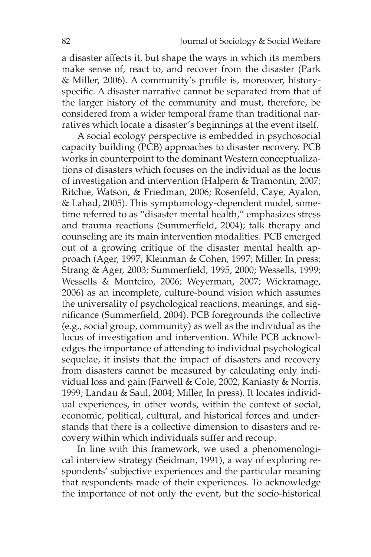a disaster affects it, but shape the ways in which its members make sense of, react to, and recover from the disaster (Park & Miller, 2006). A community's profile is, moreover, historyspecific. A disaster narrative cannot be separated from that of the larger history of the community and must, therefore, be considered from a wider temporal frame than traditional narratives which locate a disaster's beginnings at the event itself.

A social ecology perspective is embedded in psychosocial capacity building (PCB) approaches to disaster recovery. PCB works in counterpoint to the dominant Western conceptualizations of disasters which focuses on the individual as the locus of investigation and intervention (Halpern & Tramontin, 2007; Ritchie, Watson, & Friedman, 2006; Rosenfeld, Caye, Ayalon, & Lahad, 2005). This symptomology-dependent model, sometime referred to as "disaster mental health," emphasizes stress and trauma reactions (Summerfield, 2004); talk therapy and counseling are its main intervention modalities. PCB emerged out of a growing critique of the disaster mental health approach (Ager, 1997; Kleinman & Cohen, 1997; Miller, In press; Strang & Ager, 2003; Summerfield, 1995, 2000; Wessells, 1999; Wessells & Monteiro, 2006; Weyerman, 2007; Wickramage, 2006) as an incomplete, culture-bound vision which assumes the universality of psychological reactions, meanings, and significance (Summerfield, 2004). PCB foregrounds the collective (e.g., social group, community) as well as the individual as the locus of investigation and intervention. While PCB acknowledges the importance of attending to individual psychological sequelae, it insists that the impact of disasters and recovery from disasters cannot be measured by calculating only individual loss and gain (Farwell & Cole, 2002; Kaniasty & Norris, 1999; Landau & Saul, 2004; Miller, In press). It locates individual experiences, in other words, within the context of social, economic, political, cultural, and historical forces and understands that there is a collective dimension to disasters and recovery within which individuals suffer and recoup.

In line with this framework, we used a phenomenological interview strategy (Seidman, 1991), a way of exploring respondents' subjective experiences and the particular meaning that respondents made of their experiences. To acknowledge the importance of not only the event, but the socio-historical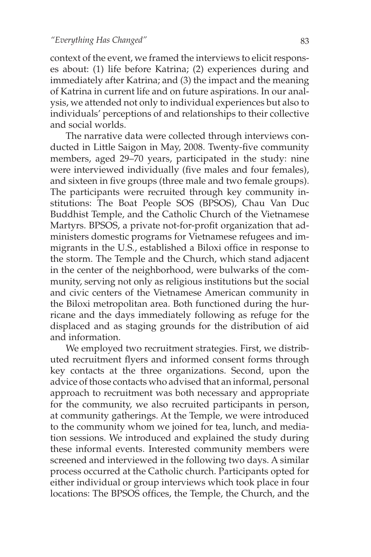context of the event, we framed the interviews to elicit responses about: (1) life before Katrina; (2) experiences during and immediately after Katrina; and (3) the impact and the meaning of Katrina in current life and on future aspirations. In our analysis, we attended not only to individual experiences but also to individuals' perceptions of and relationships to their collective and social worlds.

The narrative data were collected through interviews conducted in Little Saigon in May, 2008. Twenty-five community members, aged 29–70 years, participated in the study: nine were interviewed individually (five males and four females), and sixteen in five groups (three male and two female groups). The participants were recruited through key community institutions: The Boat People SOS (BPSOS), Chau Van Duc Buddhist Temple, and the Catholic Church of the Vietnamese Martyrs. BPSOS, a private not-for-profit organization that administers domestic programs for Vietnamese refugees and immigrants in the U.S., established a Biloxi office in response to the storm. The Temple and the Church, which stand adjacent in the center of the neighborhood, were bulwarks of the community, serving not only as religious institutions but the social and civic centers of the Vietnamese American community in the Biloxi metropolitan area. Both functioned during the hurricane and the days immediately following as refuge for the displaced and as staging grounds for the distribution of aid and information.

We employed two recruitment strategies. First, we distributed recruitment flyers and informed consent forms through key contacts at the three organizations. Second, upon the advice of those contacts who advised that an informal, personal approach to recruitment was both necessary and appropriate for the community, we also recruited participants in person, at community gatherings. At the Temple, we were introduced to the community whom we joined for tea, lunch, and mediation sessions. We introduced and explained the study during these informal events. Interested community members were screened and interviewed in the following two days. A similar process occurred at the Catholic church. Participants opted for either individual or group interviews which took place in four locations: The BPSOS offices, the Temple, the Church, and the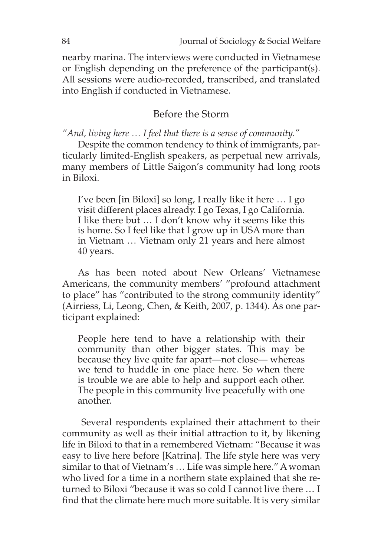nearby marina. The interviews were conducted in Vietnamese or English depending on the preference of the participant(s). All sessions were audio-recorded, transcribed, and translated into English if conducted in Vietnamese.

#### Before the Storm

*"And, living here … I feel that there is a sense of community."*

Despite the common tendency to think of immigrants, particularly limited-English speakers, as perpetual new arrivals, many members of Little Saigon's community had long roots in Biloxi.

I've been [in Biloxi] so long, I really like it here … I go visit different places already. I go Texas, I go California. I like there but … I don't know why it seems like this is home. So I feel like that I grow up in USA more than in Vietnam … Vietnam only 21 years and here almost 40 years.

As has been noted about New Orleans' Vietnamese Americans, the community members' "profound attachment to place" has "contributed to the strong community identity" (Airriess, Li, Leong, Chen, & Keith, 2007, p. 1344). As one participant explained:

People here tend to have a relationship with their community than other bigger states. This may be because they live quite far apart—not close— whereas we tend to huddle in one place here. So when there is trouble we are able to help and support each other. The people in this community live peacefully with one another.

 Several respondents explained their attachment to their community as well as their initial attraction to it, by likening life in Biloxi to that in a remembered Vietnam: "Because it was easy to live here before [Katrina]. The life style here was very similar to that of Vietnam's … Life was simple here." A woman who lived for a time in a northern state explained that she returned to Biloxi "because it was so cold I cannot live there … I find that the climate here much more suitable. It is very similar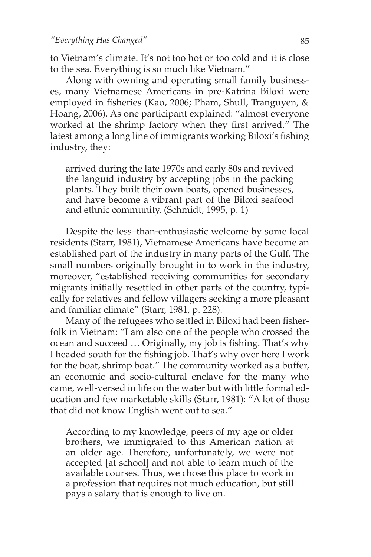to Vietnam's climate. It's not too hot or too cold and it is close to the sea. Everything is so much like Vietnam."

Along with owning and operating small family businesses, many Vietnamese Americans in pre-Katrina Biloxi were employed in fisheries (Kao, 2006; Pham, Shull, Tranguyen, & Hoang, 2006). As one participant explained: "almost everyone worked at the shrimp factory when they first arrived." The latest among a long line of immigrants working Biloxi's fishing industry, they:

arrived during the late 1970s and early 80s and revived the languid industry by accepting jobs in the packing plants. They built their own boats, opened businesses, and have become a vibrant part of the Biloxi seafood and ethnic community. (Schmidt, 1995, p. 1)

Despite the less–than-enthusiastic welcome by some local residents (Starr, 1981), Vietnamese Americans have become an established part of the industry in many parts of the Gulf. The small numbers originally brought in to work in the industry, moreover, "established receiving communities for secondary migrants initially resettled in other parts of the country, typically for relatives and fellow villagers seeking a more pleasant and familiar climate" (Starr, 1981, p. 228).

Many of the refugees who settled in Biloxi had been fisherfolk in Vietnam: "I am also one of the people who crossed the ocean and succeed … Originally, my job is fishing. That's why I headed south for the fishing job. That's why over here I work for the boat, shrimp boat." The community worked as a buffer, an economic and socio-cultural enclave for the many who came, well-versed in life on the water but with little formal education and few marketable skills (Starr, 1981): "A lot of those that did not know English went out to sea."

According to my knowledge, peers of my age or older brothers, we immigrated to this American nation at an older age. Therefore, unfortunately, we were not accepted [at school] and not able to learn much of the available courses. Thus, we chose this place to work in a profession that requires not much education, but still pays a salary that is enough to live on.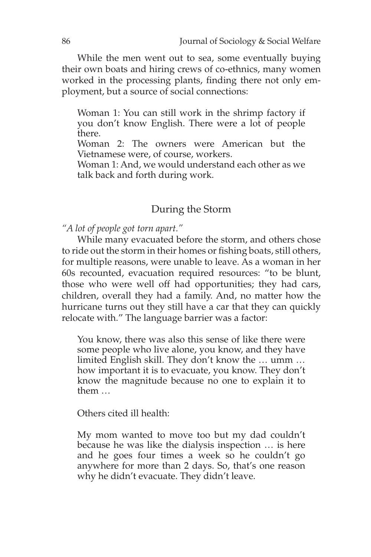While the men went out to sea, some eventually buying their own boats and hiring crews of co-ethnics, many women worked in the processing plants, finding there not only employment, but a source of social connections:

Woman 1: You can still work in the shrimp factory if you don't know English. There were a lot of people there.

Woman 2: The owners were American but the Vietnamese were, of course, workers.

Woman 1: And, we would understand each other as we talk back and forth during work.

#### During the Storm

*"A lot of people got torn apart."*

While many evacuated before the storm, and others chose to ride out the storm in their homes or fishing boats, still others, for multiple reasons, were unable to leave. As a woman in her 60s recounted, evacuation required resources: "to be blunt, those who were well off had opportunities; they had cars, children, overall they had a family. And, no matter how the hurricane turns out they still have a car that they can quickly relocate with." The language barrier was a factor:

You know, there was also this sense of like there were some people who live alone, you know, and they have limited English skill. They don't know the … umm … how important it is to evacuate, you know. They don't know the magnitude because no one to explain it to them …

Others cited ill health:

My mom wanted to move too but my dad couldn't because he was like the dialysis inspection … is here and he goes four times a week so he couldn't go anywhere for more than 2 days. So, that's one reason why he didn't evacuate. They didn't leave.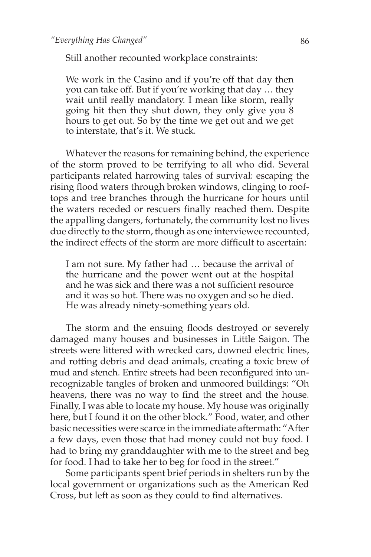Still another recounted workplace constraints:

We work in the Casino and if you're off that day then you can take off. But if you're working that day … they wait until really mandatory. I mean like storm, really going hit then they shut down, they only give you 8 hours to get out. So by the time we get out and we get to interstate, that's it. We stuck.

Whatever the reasons for remaining behind, the experience of the storm proved to be terrifying to all who did. Several participants related harrowing tales of survival: escaping the rising flood waters through broken windows, clinging to rooftops and tree branches through the hurricane for hours until the waters receded or rescuers finally reached them. Despite the appalling dangers, fortunately, the community lost no lives due directly to the storm, though as one interviewee recounted, the indirect effects of the storm are more difficult to ascertain:

I am not sure. My father had … because the arrival of the hurricane and the power went out at the hospital and he was sick and there was a not sufficient resource and it was so hot. There was no oxygen and so he died. He was already ninety-something years old.

The storm and the ensuing floods destroyed or severely damaged many houses and businesses in Little Saigon. The streets were littered with wrecked cars, downed electric lines, and rotting debris and dead animals, creating a toxic brew of mud and stench. Entire streets had been reconfigured into unrecognizable tangles of broken and unmoored buildings: "Oh heavens, there was no way to find the street and the house. Finally, I was able to locate my house. My house was originally here, but I found it on the other block." Food, water, and other basic necessities were scarce in the immediate aftermath: "After a few days, even those that had money could not buy food. I had to bring my granddaughter with me to the street and beg for food. I had to take her to beg for food in the street."

Some participants spent brief periods in shelters run by the local government or organizations such as the American Red Cross, but left as soon as they could to find alternatives.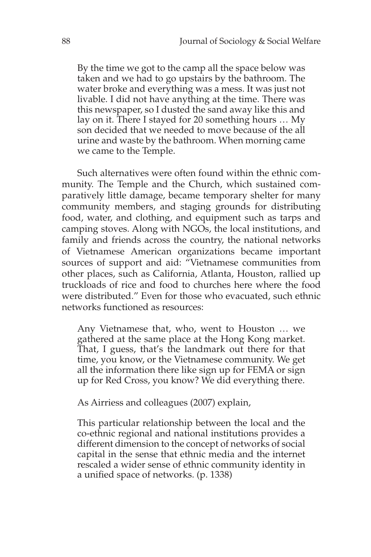By the time we got to the camp all the space below was taken and we had to go upstairs by the bathroom. The water broke and everything was a mess. It was just not livable. I did not have anything at the time. There was this newspaper, so I dusted the sand away like this and lay on it. There I stayed for 20 something hours … My son decided that we needed to move because of the all urine and waste by the bathroom. When morning came we came to the Temple.

Such alternatives were often found within the ethnic community. The Temple and the Church, which sustained comparatively little damage, became temporary shelter for many community members, and staging grounds for distributing food, water, and clothing, and equipment such as tarps and camping stoves. Along with NGOs, the local institutions, and family and friends across the country, the national networks of Vietnamese American organizations became important sources of support and aid: "Vietnamese communities from other places, such as California, Atlanta, Houston, rallied up truckloads of rice and food to churches here where the food were distributed." Even for those who evacuated, such ethnic networks functioned as resources:

Any Vietnamese that, who, went to Houston … we gathered at the same place at the Hong Kong market. That, I guess, that's the landmark out there for that time, you know, or the Vietnamese community. We get all the information there like sign up for FEMA or sign up for Red Cross, you know? We did everything there.

As Airriess and colleagues (2007) explain,

This particular relationship between the local and the co-ethnic regional and national institutions provides a different dimension to the concept of networks of social capital in the sense that ethnic media and the internet rescaled a wider sense of ethnic community identity in a unified space of networks. (p. 1338)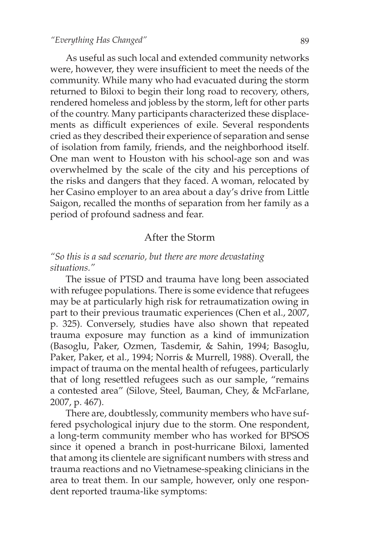As useful as such local and extended community networks were, however, they were insufficient to meet the needs of the community. While many who had evacuated during the storm returned to Biloxi to begin their long road to recovery, others, rendered homeless and jobless by the storm, left for other parts of the country. Many participants characterized these displacements as difficult experiences of exile. Several respondents cried as they described their experience of separation and sense of isolation from family, friends, and the neighborhood itself. One man went to Houston with his school-age son and was overwhelmed by the scale of the city and his perceptions of the risks and dangers that they faced. A woman, relocated by her Casino employer to an area about a day's drive from Little Saigon, recalled the months of separation from her family as a period of profound sadness and fear.

#### After the Storm

*"So this is a sad scenario, but there are more devastating situations."*

The issue of PTSD and trauma have long been associated with refugee populations. There is some evidence that refugees may be at particularly high risk for retraumatization owing in part to their previous traumatic experiences (Chen et al., 2007, p. 325). Conversely, studies have also shown that repeated trauma exposure may function as a kind of immunization (Basoglu, Paker, Ozmen, Tasdemir, & Sahin, 1994; Basoglu, Paker, Paker, et al., 1994; Norris & Murrell, 1988). Overall, the impact of trauma on the mental health of refugees, particularly that of long resettled refugees such as our sample, "remains a contested area" (Silove, Steel, Bauman, Chey, & McFarlane, 2007, p. 467).

There are, doubtlessly, community members who have suffered psychological injury due to the storm. One respondent, a long-term community member who has worked for BPSOS since it opened a branch in post-hurricane Biloxi, lamented that among its clientele are significant numbers with stress and trauma reactions and no Vietnamese-speaking clinicians in the area to treat them. In our sample, however, only one respondent reported trauma-like symptoms: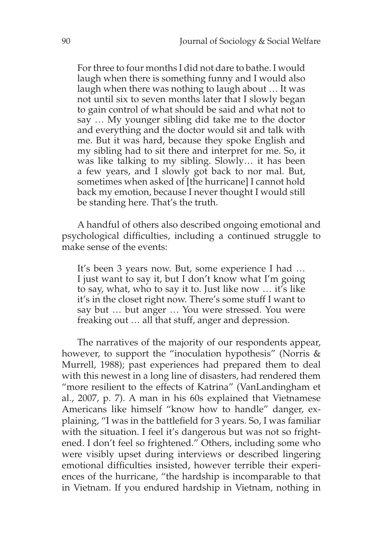For three to four months I did not dare to bathe. I would laugh when there is something funny and I would also laugh when there was nothing to laugh about … It was not until six to seven months later that I slowly began to gain control of what should be said and what not to say … My younger sibling did take me to the doctor and everything and the doctor would sit and talk with me. But it was hard, because they spoke English and my sibling had to sit there and interpret for me. So, it was like talking to my sibling. Slowly… it has been a few years, and I slowly got back to nor mal. But, sometimes when asked of [the hurricane] I cannot hold back my emotion, because I never thought I would still be standing here. That's the truth.

A handful of others also described ongoing emotional and psychological difficulties, including a continued struggle to make sense of the events:

It's been 3 years now. But, some experience I had … I just want to say it, but I don't know what I'm going to say, what, who to say it to. Just like now … it's like it's in the closet right now. There's some stuff I want to say but … but anger … You were stressed. You were freaking out … all that stuff, anger and depression.

The narratives of the majority of our respondents appear, however, to support the "inoculation hypothesis" (Norris & Murrell, 1988); past experiences had prepared them to deal with this newest in a long line of disasters, had rendered them "more resilient to the effects of Katrina" (VanLandingham et al., 2007, p. 7). A man in his 60s explained that Vietnamese Americans like himself "know how to handle" danger, explaining, "I was in the battlefield for 3 years. So, I was familiar with the situation. I feel it's dangerous but was not so frightened. I don't feel so frightened." Others, including some who were visibly upset during interviews or described lingering emotional difficulties insisted, however terrible their experiences of the hurricane, "the hardship is incomparable to that in Vietnam. If you endured hardship in Vietnam, nothing in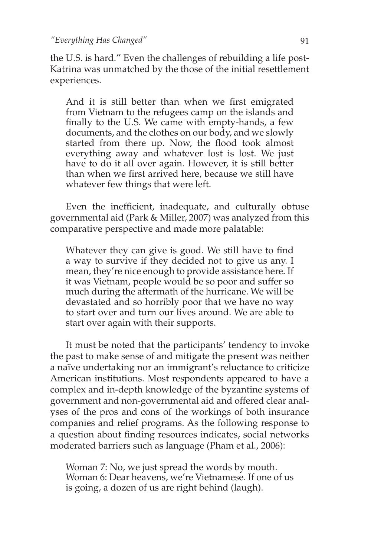the U.S. is hard." Even the challenges of rebuilding a life post-Katrina was unmatched by the those of the initial resettlement experiences.

And it is still better than when we first emigrated from Vietnam to the refugees camp on the islands and finally to the U.S. We came with empty-hands, a few documents, and the clothes on our body, and we slowly started from there up. Now, the flood took almost everything away and whatever lost is lost. We just have to do it all over again. However, it is still better than when we first arrived here, because we still have whatever few things that were left.

Even the inefficient, inadequate, and culturally obtuse governmental aid (Park & Miller, 2007) was analyzed from this comparative perspective and made more palatable:

Whatever they can give is good. We still have to find a way to survive if they decided not to give us any. I mean, they're nice enough to provide assistance here. If it was Vietnam, people would be so poor and suffer so much during the aftermath of the hurricane. We will be devastated and so horribly poor that we have no way to start over and turn our lives around. We are able to start over again with their supports.

It must be noted that the participants' tendency to invoke the past to make sense of and mitigate the present was neither a naïve undertaking nor an immigrant's reluctance to criticize American institutions. Most respondents appeared to have a complex and in-depth knowledge of the byzantine systems of government and non-governmental aid and offered clear analyses of the pros and cons of the workings of both insurance companies and relief programs. As the following response to a question about finding resources indicates, social networks moderated barriers such as language (Pham et al., 2006):

Woman 7: No, we just spread the words by mouth. Woman 6: Dear heavens, we're Vietnamese. If one of us is going, a dozen of us are right behind (laugh).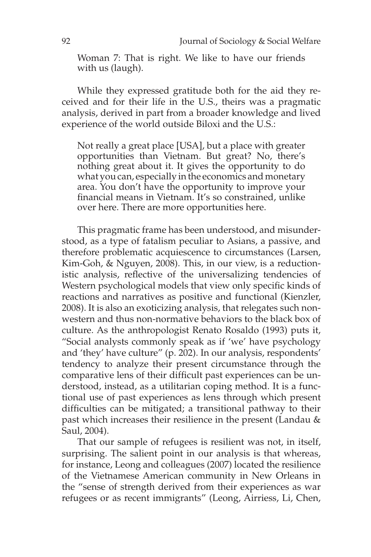Woman 7: That is right. We like to have our friends with us (laugh).

While they expressed gratitude both for the aid they received and for their life in the U.S., theirs was a pragmatic analysis, derived in part from a broader knowledge and lived experience of the world outside Biloxi and the U.S.:

Not really a great place [USA], but a place with greater opportunities than Vietnam. But great? No, there's nothing great about it. It gives the opportunity to do what you can, especially in the economics and monetary area. You don't have the opportunity to improve your financial means in Vietnam. It's so constrained, unlike over here. There are more opportunities here.

This pragmatic frame has been understood, and misunderstood, as a type of fatalism peculiar to Asians, a passive, and therefore problematic acquiescence to circumstances (Larsen, Kim-Goh, & Nguyen, 2008). This, in our view, is a reductionistic analysis, reflective of the universalizing tendencies of Western psychological models that view only specific kinds of reactions and narratives as positive and functional (Kienzler, 2008). It is also an exoticizing analysis, that relegates such nonwestern and thus non-normative behaviors to the black box of culture. As the anthropologist Renato Rosaldo (1993) puts it, "Social analysts commonly speak as if 'we' have psychology and 'they' have culture" (p. 202). In our analysis, respondents' tendency to analyze their present circumstance through the comparative lens of their difficult past experiences can be understood, instead, as a utilitarian coping method. It is a functional use of past experiences as lens through which present difficulties can be mitigated; a transitional pathway to their past which increases their resilience in the present (Landau & Saul, 2004).

That our sample of refugees is resilient was not, in itself, surprising. The salient point in our analysis is that whereas, for instance, Leong and colleagues (2007) located the resilience of the Vietnamese American community in New Orleans in the "sense of strength derived from their experiences as war refugees or as recent immigrants" (Leong, Airriess, Li, Chen,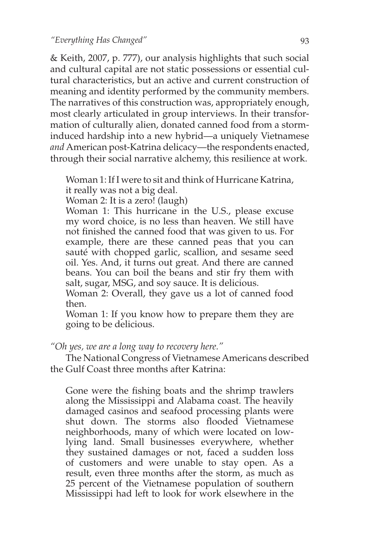*"Everything Has Changed"*

& Keith, 2007, p. 777), our analysis highlights that such social and cultural capital are not static possessions or essential cultural characteristics, but an active and current construction of meaning and identity performed by the community members. The narratives of this construction was, appropriately enough, most clearly articulated in group interviews. In their transformation of culturally alien, donated canned food from a storminduced hardship into a new hybrid—a uniquely Vietnamese *and* American post-Katrina delicacy—the respondents enacted, through their social narrative alchemy, this resilience at work.

Woman 1: If I were to sit and think of Hurricane Katrina, it really was not a big deal.

Woman 2: It is a zero! (laugh)

Woman 1: This hurricane in the U.S., please excuse my word choice, is no less than heaven. We still have not finished the canned food that was given to us. For example, there are these canned peas that you can sauté with chopped garlic, scallion, and sesame seed oil. Yes. And, it turns out great. And there are canned beans. You can boil the beans and stir fry them with salt, sugar, MSG, and soy sauce. It is delicious.

Woman 2: Overall, they gave us a lot of canned food then.

Woman 1: If you know how to prepare them they are going to be delicious.

*"Oh yes, we are a long way to recovery here."*

The National Congress of Vietnamese Americans described the Gulf Coast three months after Katrina:

Gone were the fishing boats and the shrimp trawlers along the Mississippi and Alabama coast. The heavily damaged casinos and seafood processing plants were shut down. The storms also flooded Vietnamese neighborhoods, many of which were located on lowlying land. Small businesses everywhere, whether they sustained damages or not, faced a sudden loss of customers and were unable to stay open. As a result, even three months after the storm, as much as 25 percent of the Vietnamese population of southern Mississippi had left to look for work elsewhere in the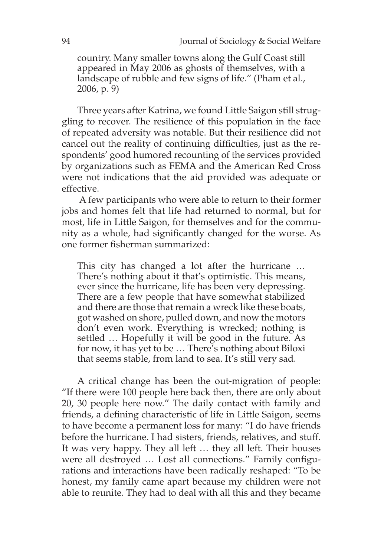country. Many smaller towns along the Gulf Coast still appeared in May 2006 as ghosts of themselves, with a landscape of rubble and few signs of life." (Pham et al., 2006, p. 9)

Three years after Katrina, we found Little Saigon still struggling to recover. The resilience of this population in the face of repeated adversity was notable. But their resilience did not cancel out the reality of continuing difficulties, just as the respondents' good humored recounting of the services provided by organizations such as FEMA and the American Red Cross were not indications that the aid provided was adequate or effective.

 A few participants who were able to return to their former jobs and homes felt that life had returned to normal, but for most, life in Little Saigon, for themselves and for the community as a whole, had significantly changed for the worse. As one former fisherman summarized:

This city has changed a lot after the hurricane … There's nothing about it that's optimistic. This means, ever since the hurricane, life has been very depressing. There are a few people that have somewhat stabilized and there are those that remain a wreck like these boats, got washed on shore, pulled down, and now the motors don't even work. Everything is wrecked; nothing is settled … Hopefully it will be good in the future. As for now, it has yet to be … There's nothing about Biloxi that seems stable, from land to sea. It's still very sad.

A critical change has been the out-migration of people: "If there were 100 people here back then, there are only about 20, 30 people here now." The daily contact with family and friends, a defining characteristic of life in Little Saigon, seems to have become a permanent loss for many: "I do have friends before the hurricane. I had sisters, friends, relatives, and stuff. It was very happy. They all left … they all left. Their houses were all destroyed … Lost all connections." Family configurations and interactions have been radically reshaped: "To be honest, my family came apart because my children were not able to reunite. They had to deal with all this and they became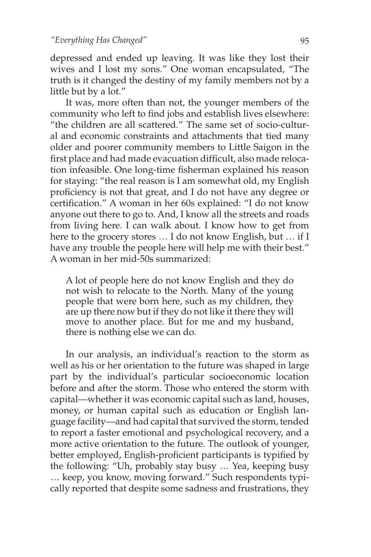depressed and ended up leaving. It was like they lost their wives and I lost my sons." One woman encapsulated, "The truth is it changed the destiny of my family members not by a little but by a lot."

It was, more often than not, the younger members of the community who left to find jobs and establish lives elsewhere: "the children are all scattered." The same set of socio-cultural and economic constraints and attachments that tied many older and poorer community members to Little Saigon in the first place and had made evacuation difficult, also made relocation infeasible. One long-time fisherman explained his reason for staying: "the real reason is I am somewhat old, my English proficiency is not that great, and I do not have any degree or certification." A woman in her 60s explained: "I do not know anyone out there to go to. And, I know all the streets and roads from living here. I can walk about. I know how to get from here to the grocery stores … I do not know English, but … if I have any trouble the people here will help me with their best." A woman in her mid-50s summarized:

A lot of people here do not know English and they do not wish to relocate to the North. Many of the young people that were born here, such as my children, they are up there now but if they do not like it there they will move to another place. But for me and my husband, there is nothing else we can do.

In our analysis, an individual's reaction to the storm as well as his or her orientation to the future was shaped in large part by the individual's particular socioeconomic location before and after the storm. Those who entered the storm with capital—whether it was economic capital such as land, houses, money, or human capital such as education or English language facility—and had capital that survived the storm, tended to report a faster emotional and psychological recovery, and a more active orientation to the future. The outlook of younger, better employed, English-proficient participants is typified by the following: "Uh, probably stay busy … Yea, keeping busy … keep, you know, moving forward." Such respondents typically reported that despite some sadness and frustrations, they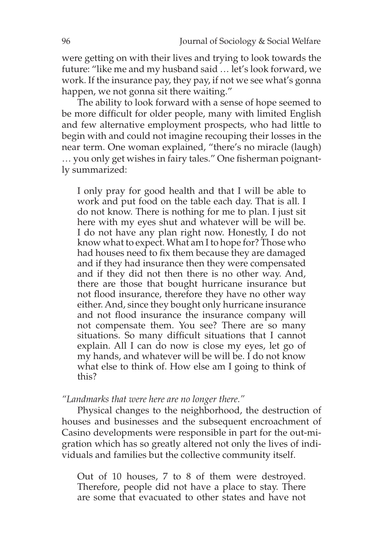were getting on with their lives and trying to look towards the future: "like me and my husband said … let's look forward, we work. If the insurance pay, they pay, if not we see what's gonna happen, we not gonna sit there waiting."

The ability to look forward with a sense of hope seemed to be more difficult for older people, many with limited English and few alternative employment prospects, who had little to begin with and could not imagine recouping their losses in the near term. One woman explained, "there's no miracle (laugh) … you only get wishes in fairy tales." One fisherman poignantly summarized:

I only pray for good health and that I will be able to work and put food on the table each day. That is all. I do not know. There is nothing for me to plan. I just sit here with my eyes shut and whatever will be will be. I do not have any plan right now. Honestly, I do not know what to expect. What am I to hope for? Those who had houses need to fix them because they are damaged and if they had insurance then they were compensated and if they did not then there is no other way. And, there are those that bought hurricane insurance but not flood insurance, therefore they have no other way either. And, since they bought only hurricane insurance and not flood insurance the insurance company will not compensate them. You see? There are so many situations. So many difficult situations that I cannot explain. All I can do now is close my eyes, let go of my hands, and whatever will be will be. I do not know what else to think of. How else am I going to think of this?

*"Landmarks that were here are no longer there."* 

Physical changes to the neighborhood, the destruction of houses and businesses and the subsequent encroachment of Casino developments were responsible in part for the out-migration which has so greatly altered not only the lives of individuals and families but the collective community itself.

Out of 10 houses, 7 to 8 of them were destroyed. Therefore, people did not have a place to stay. There are some that evacuated to other states and have not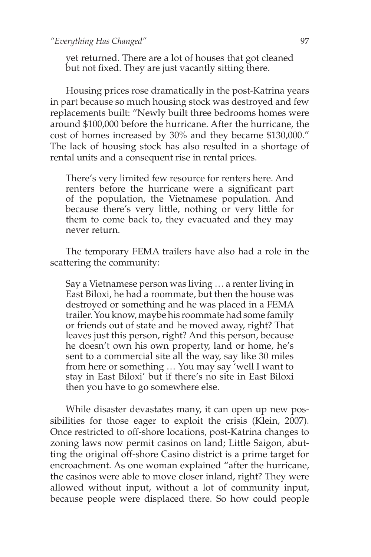yet returned. There are a lot of houses that got cleaned but not fixed. They are just vacantly sitting there.

Housing prices rose dramatically in the post-Katrina years in part because so much housing stock was destroyed and few replacements built: "Newly built three bedrooms homes were around \$100,000 before the hurricane. After the hurricane, the cost of homes increased by 30% and they became \$130,000." The lack of housing stock has also resulted in a shortage of rental units and a consequent rise in rental prices.

There's very limited few resource for renters here. And renters before the hurricane were a significant part of the population, the Vietnamese population. And because there's very little, nothing or very little for them to come back to, they evacuated and they may never return.

The temporary FEMA trailers have also had a role in the scattering the community:

Say a Vietnamese person was living … a renter living in East Biloxi, he had a roommate, but then the house was destroyed or something and he was placed in a FEMA trailer. You know, maybe his roommate had some family or friends out of state and he moved away, right? That leaves just this person, right? And this person, because he doesn't own his own property, land or home, he's sent to a commercial site all the way, say like 30 miles from here or something … You may say 'well I want to stay in East Biloxi' but if there's no site in East Biloxi then you have to go somewhere else.

While disaster devastates many, it can open up new possibilities for those eager to exploit the crisis (Klein, 2007). Once restricted to off-shore locations, post-Katrina changes to zoning laws now permit casinos on land; Little Saigon, abutting the original off-shore Casino district is a prime target for encroachment. As one woman explained "after the hurricane, the casinos were able to move closer inland, right? They were allowed without input, without a lot of community input, because people were displaced there. So how could people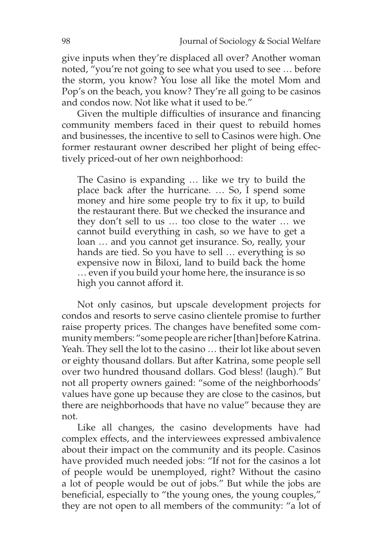give inputs when they're displaced all over? Another woman noted, "you're not going to see what you used to see … before the storm, you know? You lose all like the motel Mom and Pop's on the beach, you know? They're all going to be casinos and condos now. Not like what it used to be."

Given the multiple difficulties of insurance and financing community members faced in their quest to rebuild homes and businesses, the incentive to sell to Casinos were high. One former restaurant owner described her plight of being effectively priced-out of her own neighborhood:

The Casino is expanding … like we try to build the place back after the hurricane. … So, I spend some money and hire some people try to fix it up, to build the restaurant there. But we checked the insurance and they don't sell to us … too close to the water … we cannot build everything in cash, so we have to get a loan … and you cannot get insurance. So, really, your hands are tied. So you have to sell … everything is so expensive now in Biloxi, land to build back the home … even if you build your home here, the insurance is so high you cannot afford it.

Not only casinos, but upscale development projects for condos and resorts to serve casino clientele promise to further raise property prices. The changes have benefited some community members: "some people are richer [than] before Katrina. Yeah. They sell the lot to the casino … their lot like about seven or eighty thousand dollars. But after Katrina, some people sell over two hundred thousand dollars. God bless! (laugh)." But not all property owners gained: "some of the neighborhoods' values have gone up because they are close to the casinos, but there are neighborhoods that have no value" because they are not.

Like all changes, the casino developments have had complex effects, and the interviewees expressed ambivalence about their impact on the community and its people. Casinos have provided much needed jobs: "If not for the casinos a lot of people would be unemployed, right? Without the casino a lot of people would be out of jobs." But while the jobs are beneficial, especially to "the young ones, the young couples," they are not open to all members of the community: "a lot of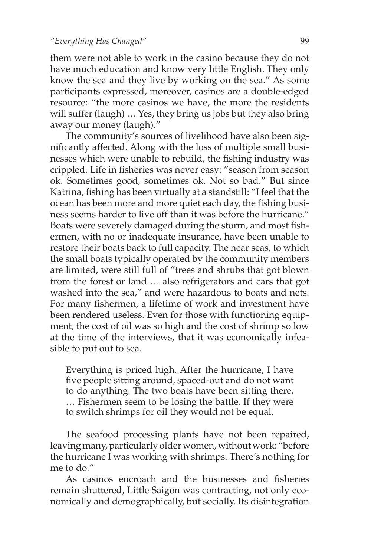them were not able to work in the casino because they do not have much education and know very little English. They only know the sea and they live by working on the sea." As some participants expressed, moreover, casinos are a double-edged resource: "the more casinos we have, the more the residents will suffer (laugh) … Yes, they bring us jobs but they also bring away our money (laugh)."

The community's sources of livelihood have also been significantly affected. Along with the loss of multiple small businesses which were unable to rebuild, the fishing industry was crippled. Life in fisheries was never easy: "season from season ok. Sometimes good, sometimes ok. Not so bad." But since Katrina, fishing has been virtually at a standstill: "I feel that the ocean has been more and more quiet each day, the fishing business seems harder to live off than it was before the hurricane." Boats were severely damaged during the storm, and most fishermen, with no or inadequate insurance, have been unable to restore their boats back to full capacity. The near seas, to which the small boats typically operated by the community members are limited, were still full of "trees and shrubs that got blown from the forest or land … also refrigerators and cars that got washed into the sea," and were hazardous to boats and nets. For many fishermen, a lifetime of work and investment have been rendered useless. Even for those with functioning equipment, the cost of oil was so high and the cost of shrimp so low at the time of the interviews, that it was economically infeasible to put out to sea.

Everything is priced high. After the hurricane, I have five people sitting around, spaced-out and do not want to do anything. The two boats have been sitting there. … Fishermen seem to be losing the battle. If they were to switch shrimps for oil they would not be equal.

The seafood processing plants have not been repaired, leaving many, particularly older women, without work: "before the hurricane I was working with shrimps. There's nothing for me to do."

As casinos encroach and the businesses and fisheries remain shuttered, Little Saigon was contracting, not only economically and demographically, but socially. Its disintegration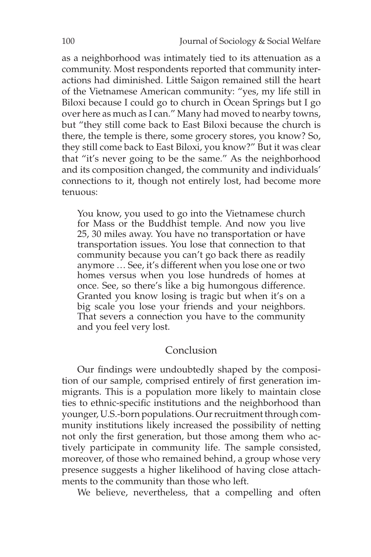as a neighborhood was intimately tied to its attenuation as a community. Most respondents reported that community interactions had diminished. Little Saigon remained still the heart of the Vietnamese American community: "yes, my life still in Biloxi because I could go to church in Ocean Springs but I go over here as much as I can." Many had moved to nearby towns, but "they still come back to East Biloxi because the church is there, the temple is there, some grocery stores, you know? So, they still come back to East Biloxi, you know?" But it was clear that "it's never going to be the same." As the neighborhood and its composition changed, the community and individuals' connections to it, though not entirely lost, had become more tenuous:

You know, you used to go into the Vietnamese church for Mass or the Buddhist temple. And now you live 25, 30 miles away. You have no transportation or have transportation issues. You lose that connection to that community because you can't go back there as readily anymore … See, it's different when you lose one or two homes versus when you lose hundreds of homes at once. See, so there's like a big humongous difference. Granted you know losing is tragic but when it's on a big scale you lose your friends and your neighbors. That severs a connection you have to the community and you feel very lost.

#### Conclusion

Our findings were undoubtedly shaped by the composition of our sample, comprised entirely of first generation immigrants. This is a population more likely to maintain close ties to ethnic-specific institutions and the neighborhood than younger, U.S.-born populations. Our recruitment through community institutions likely increased the possibility of netting not only the first generation, but those among them who actively participate in community life. The sample consisted, moreover, of those who remained behind, a group whose very presence suggests a higher likelihood of having close attachments to the community than those who left.

We believe, nevertheless, that a compelling and often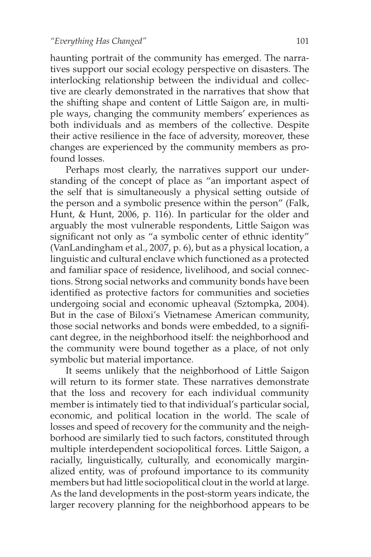haunting portrait of the community has emerged. The narratives support our social ecology perspective on disasters. The interlocking relationship between the individual and collective are clearly demonstrated in the narratives that show that the shifting shape and content of Little Saigon are, in multiple ways, changing the community members' experiences as both individuals and as members of the collective. Despite their active resilience in the face of adversity, moreover, these changes are experienced by the community members as profound losses.

Perhaps most clearly, the narratives support our understanding of the concept of place as "an important aspect of the self that is simultaneously a physical setting outside of the person and a symbolic presence within the person" (Falk, Hunt, & Hunt, 2006, p. 116). In particular for the older and arguably the most vulnerable respondents, Little Saigon was significant not only as "a symbolic center of ethnic identity" (VanLandingham et al., 2007, p. 6), but as a physical location, a linguistic and cultural enclave which functioned as a protected and familiar space of residence, livelihood, and social connections. Strong social networks and community bonds have been identified as protective factors for communities and societies undergoing social and economic upheaval (Sztompka, 2004). But in the case of Biloxi's Vietnamese American community, those social networks and bonds were embedded, to a significant degree, in the neighborhood itself: the neighborhood and the community were bound together as a place, of not only symbolic but material importance.

It seems unlikely that the neighborhood of Little Saigon will return to its former state. These narratives demonstrate that the loss and recovery for each individual community member is intimately tied to that individual's particular social, economic, and political location in the world. The scale of losses and speed of recovery for the community and the neighborhood are similarly tied to such factors, constituted through multiple interdependent sociopolitical forces. Little Saigon, a racially, linguistically, culturally, and economically marginalized entity, was of profound importance to its community members but had little sociopolitical clout in the world at large. As the land developments in the post-storm years indicate, the larger recovery planning for the neighborhood appears to be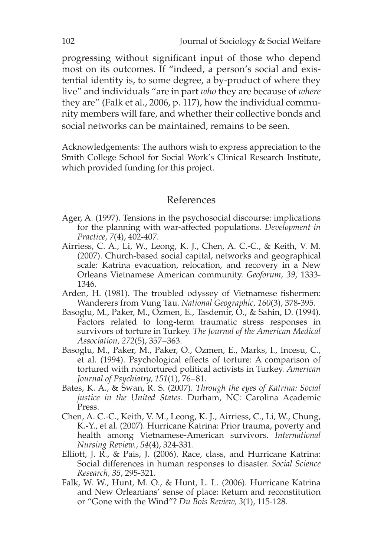progressing without significant input of those who depend most on its outcomes. If "indeed, a person's social and existential identity is, to some degree, a by-product of where they live" and individuals "are in part *who* they are because of *where*  they are" (Falk et al., 2006, p. 117), how the individual community members will fare, and whether their collective bonds and social networks can be maintained, remains to be seen.

Acknowledgements: The authors wish to express appreciation to the Smith College School for Social Work's Clinical Research Institute, which provided funding for this project.

#### References

- Ager, A. (1997). Tensions in the psychosocial discourse: implications for the planning with war-affected populations. *Development in Practice, 7*(4), 402-407.
- Airriess, C. A., Li, W., Leong, K. J., Chen, A. C.-C., & Keith, V. M. (2007). Church-based social capital, networks and geographical scale: Katrina evacuation, relocation, and recovery in a New Orleans Vietnamese American community. *Geoforum, 39*, 1333- 1346.
- Arden, H. (1981). The troubled odyssey of Vietnamese fishermen: Wanderers from Vung Tau. *National Geographic, 160*(3), 378-395.
- Basoglu, M., Paker, M., Ozmen, E., Tasdemir, O., & Sahin, D. (1994). Factors related to long-term traumatic stress responses in survivors of torture in Turkey. *The Journal of the American Medical Association, 272*(5), 357−363.
- Basoglu, M., Paker, M., Paker, O., Ozmen, E., Marks, I., Incesu, C., et al. (1994). Psychological effects of torture: A comparison of tortured with nontortured political activists in Turkey. *American Journal of Psychiatry, 151*(1), 76−81.
- Bates, K. A., & Swan, R. S. (2007). *Through the eyes of Katrina: Social justice in the United States*. Durham, NC: Carolina Academic Press.
- Chen, A. C.-C., Keith, V. M., Leong, K. J., Airriess, C., Li, W., Chung, K.-Y., et al. (2007). Hurricane Katrina: Prior trauma, poverty and health among Vietnamese-American survivors. *International Nursing Review., 54*(4), 324-331.
- Elliott, J. R., & Pais, J. (2006). Race, class, and Hurricane Katrina: Social differences in human responses to disaster. *Social Science Research, 35*, 295-321.
- Falk, W. W., Hunt, M. O., & Hunt, L. L. (2006). Hurricane Katrina and New Orleanians' sense of place: Return and reconstitution or "Gone with the Wind"? *Du Bois Review, 3*(1), 115-128.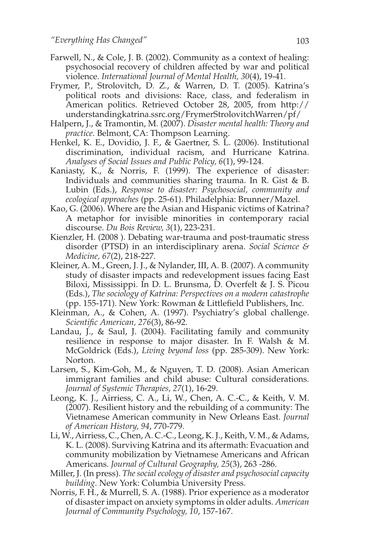- Farwell, N., & Cole, J. B. (2002). Community as a context of healing: psychosocial recovery of children affected by war and political violence. *International Journal of Mental Health, 30*(4), 19-41.
- Frymer, P., Strolovitch, D. Z., & Warren, D. T. (2005). Katrina's political roots and divisions: Race, class, and federalism in American politics. Retrieved October 28, 2005, from http:// understandingkatrina.ssrc.org/FrymerStrolovitchWarren/pf/
- Halpern, J., & Tramontin, M. (2007). *Disaster mental health: Theory and practice*. Belmont, CA: Thompson Learning.
- Henkel, K. E., Dovidio, J. F., & Gaertner, S. L. (2006). Institutional discrimination, individual racism, and Hurricane Katrina. *Analyses of Social Issues and Public Policy, 6*(1), 99-124.
- Kaniasty, K., & Norris, F. (1999). The experience of disaster: Individuals and communities sharing trauma. In R. Gist & B. Lubin (Eds.), *Response to disaster: Psychosocial, community and ecological approaches* (pp. 25-61). Philadelphia: Brunner/Mazel.
- Kao, G. (2006). Where are the Asian and Hispanic victims of Katrina? A metaphor for invisible minorities in contemporary racial discourse. *Du Bois Review, 3*(1), 223-231.
- Kienzler, H. (2008 ). Debating war-trauma and post-traumatic stress disorder (PTSD) in an interdisciplinary arena. *Social Science & Medicine, 67*(2), 218-227.
- Kleiner, A. M., Green, J. J., & Nylander, III, A. B. (2007). A community study of disaster impacts and redevelopment issues facing East Biloxi, Mississippi. In D. L. Brunsma, D. Overfelt & J. S. Picou (Eds.), *The sociology of Katrina: Perspectives on a modern catastrophe* (pp. 155-171). New York: Rowman & Littlefield Publishers, Inc.
- Kleinman, A., & Cohen, A. (1997). Psychiatry's global challenge. *Scientific American, 276*(3), 86-92.
- Landau, J., & Saul, J. (2004). Facilitating family and community resilience in response to major disaster. In F. Walsh & M. McGoldrick (Eds.), *Living beyond loss* (pp. 285-309). New York: Norton.
- Larsen, S., Kim-Goh, M., & Nguyen, T. D. (2008). Asian American immigrant families and child abuse: Cultural considerations. *Journal of Systemic Therapies, 27*(1), 16-29.
- Leong, K. J., Airriess, C. A., Li, W., Chen, A. C.-C., & Keith, V. M. (2007). Resilient history and the rebuilding of a community: The Vietnamese American community in New Orleans East. *Journal of American History, 94*, 770-779.
- Li, W., Airriess, C., Chen, A. C.-C., Leong, K. J., Keith, V. M., & Adams, K. L. (2008). Surviving Katrina and its aftermath: Evacuation and community mobilization by Vietnamese Americans and African Americans. *Journal of Cultural Geography, 25*(3), 263 -286.
- Miller, J. (In press). *The social ecology of disaster and psychosocial capacity building*. New York: Columbia University Press.
- Norris, F. H., & Murrell, S. A. (1988). Prior experience as a moderator of disaster impact on anxiety symptoms in older adults. *American Journal of Community Psychology, 10*, 157-167.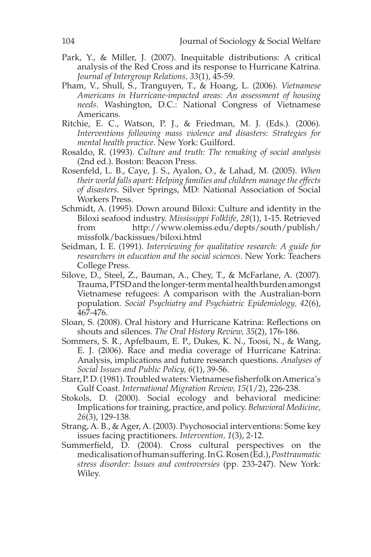- Park, Y., & Miller, J. (2007). Inequitable distributions: A critical analysis of the Red Cross and its response to Hurricane Katrina. *Journal of Intergroup Relations, 33*(1), 45-59.
- Pham, V., Shull, S., Tranguyen, T., & Hoang, L. (2006). *Vietnamese Americans in Hurricane-impacted areas: An assessment of housing needs*. Washington, D.C.: National Congress of Vietnamese Americans.
- Ritchie, E. C., Watson, P. J., & Friedman, M. J. (Eds.). (2006). *Interventions following mass violence and disasters: Strategies for mental health practice*. New York: Guilford.
- Rosaldo, R. (1993). *Culture and truth: The remaking of social analysis* (2nd ed.). Boston: Beacon Press.
- Rosenfeld, L. B., Caye, J. S., Ayalon, O., & Lahad, M. (2005). *When their world falls apart: Helping families and children manage the effects of disasters.* Silver Springs, MD: National Association of Social Workers Press.
- Schmidt, A. (1995). Down around Biloxi: Culture and identity in the Biloxi seafood industry. *Mississippi Folklife, 28*(1), 1-15. Retrieved from http://www.olemiss.edu/depts/south/publish/ missfolk/backissues/biloxi.html
- Seidman, I. E. (1991). *Interviewing for qualitative research: A guide for researchers in education and the social sciences*. New York: Teachers College Press.
- Silove, D., Steel, Z., Bauman, A., Chey, T., & McFarlane, A. (2007). Trauma, PTSD and the longer-term mental health burden amongst Vietnamese refugees: A comparison with the Australian-born population. *Social Psychiatry and Psychiatric Epidemiology, 42*(6), 467-476.
- Sloan, S. (2008). Oral history and Hurricane Katrina: Reflections on shouts and silences. *The Oral History Review, 35*(2), 176-186.
- Sommers, S. R., Apfelbaum, E. P., Dukes, K. N., Toosi, N., & Wang, E. J. (2006). Race and media coverage of Hurricane Katrina: Analysis, implications and future research questions. *Analyses of Social Issues and Public Policy, 6*(1), 39-56.
- Starr, P. D. (1981). Troubled waters: Vietnamese fisherfolk on America's Gulf Coast. *International Migration Review, 15*(1/2), 226-238.
- Stokols, D. (2000). Social ecology and behavioral medicine: Implications for training, practice, and policy. *Behavioral Medicine, 26*(3), 129-138.
- Strang, A. B., & Ager, A. (2003). Psychosocial interventions: Some key issues facing practitioners. *Intervention, 1*(3), 2-12.
- Summerfield, D. (2004). Cross cultural perspectives on the medicalisation of human suffering. In G. Rosen (Ed.), *Posttraumatic stress disorder: Issues and controversies* (pp. 233-247). New York: Wiley.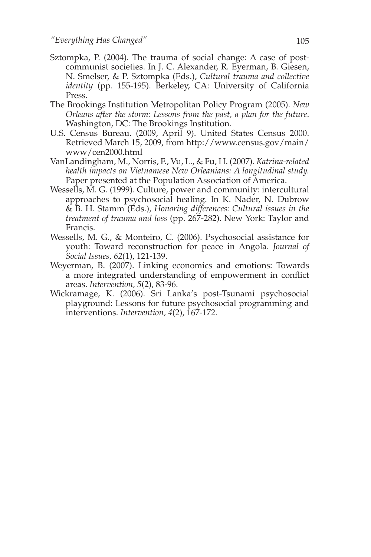- Sztompka, P. (2004). The trauma of social change: A case of postcommunist societies. In J. C. Alexander, R. Eyerman, B. Giesen, N. Smelser, & P. Sztompka (Eds.), *Cultural trauma and collective identity* (pp. 155-195). Berkeley, CA: University of California Press.
- The Brookings Institution Metropolitan Policy Program (2005). *New Orleans after the storm: Lessons from the past, a plan for the future*. Washington, DC: The Brookings Institution.
- U.S. Census Bureau. (2009, April 9). United States Census 2000. Retrieved March 15, 2009, from http://www.census.gov/main/ www/cen2000.html
- VanLandingham, M., Norris, F., Vu, L., & Fu, H. (2007). *Katrina-related health impacts on Vietnamese New Orleanians: A longitudinal study.*  Paper presented at the Population Association of America.
- Wessells, M. G. (1999). Culture, power and community: intercultural approaches to psychosocial healing. In K. Nader, N. Dubrow & B. H. Stamm (Eds.), *Honoring differences: Cultural issues in the treatment of trauma and loss* (pp. 267-282). New York: Taylor and Francis.
- Wessells, M. G., & Monteiro, C. (2006). Psychosocial assistance for youth: Toward reconstruction for peace in Angola. *Journal of Social Issues, 62*(1), 121-139.
- Weyerman, B. (2007). Linking economics and emotions: Towards a more integrated understanding of empowerment in conflict areas. *Intervention, 5*(2), 83-96.
- Wickramage, K. (2006). Sri Lanka's post-Tsunami psychosocial playground: Lessons for future psychosocial programming and interventions. *Intervention, 4*(2), 167-172.